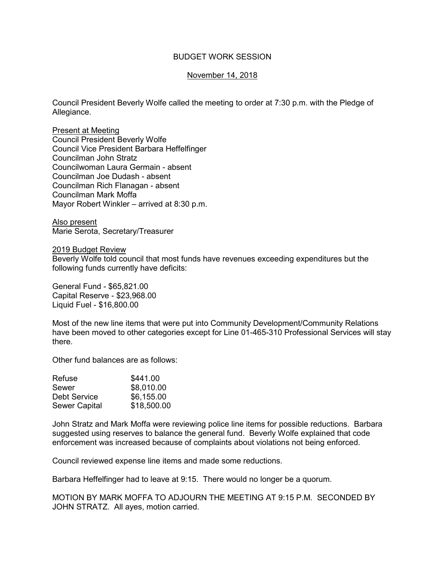## BUDGET WORK SESSION

## November 14, 2018

Council President Beverly Wolfe called the meeting to order at 7:30 p.m. with the Pledge of Allegiance.

Present at Meeting Council President Beverly Wolfe Council Vice President Barbara Heffelfinger Councilman John Stratz Councilwoman Laura Germain - absent Councilman Joe Dudash - absent Councilman Rich Flanagan - absent Councilman Mark Moffa Mayor Robert Winkler – arrived at 8:30 p.m.

Also present Marie Serota, Secretary/Treasurer

2019 Budget Review

Beverly Wolfe told council that most funds have revenues exceeding expenditures but the following funds currently have deficits:

General Fund - \$65,821.00 Capital Reserve - \$23,968.00 Liquid Fuel - \$16,800.00

Most of the new line items that were put into Community Development/Community Relations have been moved to other categories except for Line 01-465-310 Professional Services will stay there.

Other fund balances are as follows:

| Refuse               | \$441.00    |
|----------------------|-------------|
| Sewer                | \$8,010.00  |
| Debt Service         | \$6,155.00  |
| <b>Sewer Capital</b> | \$18,500.00 |

John Stratz and Mark Moffa were reviewing police line items for possible reductions. Barbara suggested using reserves to balance the general fund. Beverly Wolfe explained that code enforcement was increased because of complaints about violations not being enforced.

Council reviewed expense line items and made some reductions.

Barbara Heffelfinger had to leave at 9:15. There would no longer be a quorum.

MOTION BY MARK MOFFA TO ADJOURN THE MEETING AT 9:15 P.M. SECONDED BY JOHN STRATZ. All ayes, motion carried.